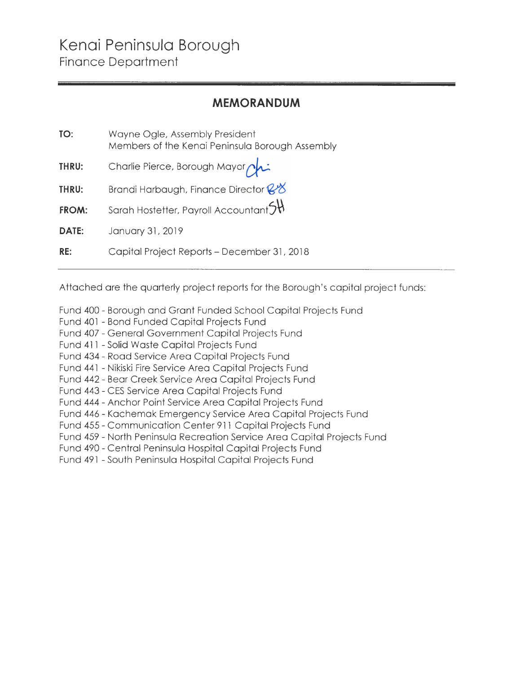#### **MEMORANDUM**

| TO:   | Wayne Ogle, Assembly President<br>Members of the Kenai Peninsula Borough Assembly |
|-------|-----------------------------------------------------------------------------------|
| THRU: | Charlie Pierce, Borough Mayor                                                     |
| THRU: | Brandi Harbaugh, Finance Director & 8                                             |
| FROM: | Sarah Hostetter, Payroll Accountant $\mathfrak{H}$                                |
| DATE: | January 31, 2019                                                                  |
| RE:   | Capital Project Reports – December 31, 2018                                       |

Attached are the quarterly project reports for the Borough's capital project funds:

- Fund 400- Borough and Grant Funded School Capital Projects Fund
- Fund 401 Bond Funded Capital Projects Fund
- Fund 407- General Government Capital Projects Fund
- Fund 411 Solid Waste Capital Projects Fund
- Fund 434- Road Service Area Capital Projects Fund
- Fund 441 Nikiski Fire Service Area Capital Projects Fund
- Fund 442- Bear Creek Service Area Capital Projects Fund
- Fund 443 CES Service Area Capital Projects Fund
- Fund 444- Anchor Point Service Area Capital Projects Fund
- Fund 446- Kachemak Emergency Service Area Capital Projects Fund
- Fund 455 Communication Center 911 Capital Projects Fund
- Fund 459 North Peninsula Recreation Service Area Capital Projects Fund
- Fund 490- Central Peninsula Hospital Capital Projects Fund
- Fund 491 South Peninsula Hospital Capital Projects Fund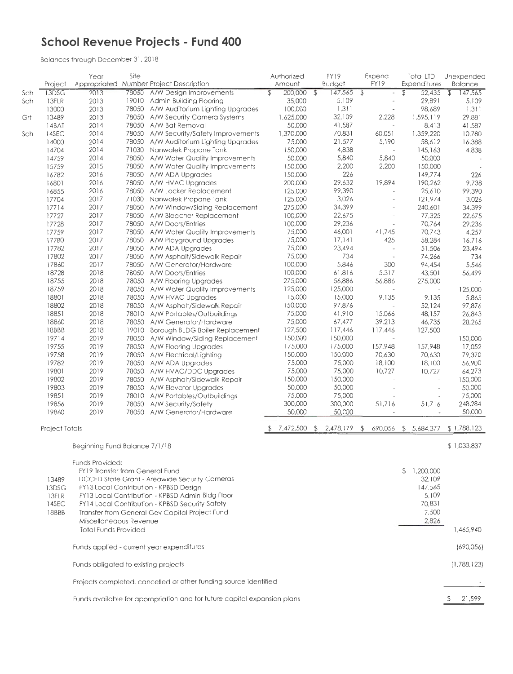### **School Revenue Projects - Fund 400**

|     |                       | Year                                 | Site  |                                                                                  | Authorized          |                          | FY19              | Expend                          | <b>Total LTD</b>         | Unexpended                |
|-----|-----------------------|--------------------------------------|-------|----------------------------------------------------------------------------------|---------------------|--------------------------|-------------------|---------------------------------|--------------------------|---------------------------|
|     | Project               |                                      |       | Appropriated Number Project Description                                          | Amount              |                          | <b>Budget</b>     | FY19                            | Expenditures             | <b>Balance</b>            |
| Sch | 13DSG                 | 2013                                 |       | 78050 A/W Design Improvements                                                    | 200,000<br>\$       | $\overline{\mathcal{L}}$ | 147,565           | \$                              | \$<br>52,435             | $\mathfrak{P}$<br>147,565 |
| Sch | 13FLR                 | 2013                                 |       | 19010 Admin Building Flooring                                                    | 35,000              |                          | 5,109             |                                 | 29,891                   | 5,109                     |
|     | 13000                 | 2013                                 |       | 78050 A/W Auditorium Lighting Upgrades                                           | 100,000             |                          | 1,311             |                                 | 98,689                   | 1,311                     |
| Grt | 13489                 | 2013                                 |       | 78050 A/W Security Camera Systems                                                | 1,625,000           |                          | 32,109            | 2,228                           | 1,595,119                | 29,881                    |
|     | 14BAT                 | 2014                                 |       | 78050 A/W Bat Removal                                                            | 50,000<br>1,370,000 |                          | 41,587<br>70,831  | $\tilde{\phantom{a}}$<br>60,051 | 8,413<br>1,359,220       | 41,587<br>10,780          |
| Sch | 14SEC<br>14000        | 2014<br>2014                         |       | 78050 A/W Security/Safety Improvements<br>78050 A/W Auditorium Lighting Upgrades | 75,000              |                          | 21,577            | 5,190                           | 58,612                   | 16,388                    |
|     | 14704                 | 2014                                 |       | 71030 Nanwalek Propane Tank                                                      | 150,000             |                          | 4,838             |                                 | 145,163                  | 4,838                     |
|     | 14759                 | 2014                                 |       | 78050 A/W Water Quality Improvements                                             | 50,000              |                          | 5,840             | 5,840                           | 50,000                   |                           |
|     | 15759                 | 2015                                 |       | 78050 A/W Water Quality Improvements                                             | 150,000             |                          | 2,200             | 2,200                           | 150,000                  |                           |
|     | 16782                 | 2016                                 |       | 78050 A/W ADA Upgrades                                                           | 150,000             |                          | 226               |                                 | 149,774                  | 226                       |
|     | 16801                 | 2016                                 |       | 78050 A/W HVAC Upgrades                                                          | 200,000             |                          | 29,632            | 19,894                          | 190,262                  | 9,738                     |
|     | 16855                 | 2016                                 |       | 78050 A/W Locker Replacement                                                     | 125,000             |                          | 99,390            |                                 | 25,610                   | 99,390                    |
|     | 17704                 | 2017                                 |       | 71030 Nanwalek Propane Tank                                                      | 125,000             |                          | 3,026             |                                 | 121,974                  | 3,026                     |
|     | 17714                 | 2017                                 | 78050 | A/W Window/Siding Replacement                                                    | 275,000             |                          | 34,399            |                                 | 240,601                  | 34,399                    |
|     | 17727                 | 2017                                 |       | 78050 A/W Bleacher Replacement                                                   | 100,000             |                          | 22,675            |                                 | 77,325                   | 22,675                    |
|     | 17728                 | 2017                                 | 78050 | A/W Doors/Entries                                                                | 100,000             |                          | 29,236            |                                 | 70,764                   | 29,236                    |
|     | 17759                 | 2017                                 |       | 78050 A/W Water Quality Improvements                                             | 75,000              |                          | 46,001            | 41,745                          | 70,743                   | 4,257                     |
|     | 17780                 | 2017                                 |       | 78050 A/W Playground Upgrades                                                    | 75,000              |                          | 17,141            | 425                             | 58,284                   | 16,716                    |
|     | 17782                 | 2017                                 |       | 78050 A/W ADA Upgrades                                                           | 75,000              |                          | 23,494            |                                 | 51,506                   | 23,494                    |
|     | 17802                 | 2017                                 |       | 78050 A/W Asphalt/Sidewalk Repair                                                | 75,000              |                          | 734               | $\overline{\phantom{a}}$        | 74,266                   | 734                       |
|     | 17860                 | 2017                                 |       | 78050 A/W Generator/Hardware                                                     | 100,000             |                          | 5,846             | 300                             | 94,454                   | 5,546                     |
|     | 18728                 | 2018                                 |       | 78050 A/W Doors/Entries                                                          | 100,000<br>275,000  |                          | 61,816            | 5,317<br>56,886                 | 43,501<br>275,000        | 56,499                    |
|     | 18755                 | 2018                                 |       | 78050 A/W Flooring Upgrades<br>78050 A/W Water Quality Improvements              | 125,000             |                          | 56,886<br>125,000 |                                 |                          | 125,000                   |
|     | 18759<br>18801        | 2018<br>2018                         |       | 78050 A/W HVAC Upgrades                                                          | 15,000              |                          | 15,000            | 9,135                           | 9,135                    | 5,865                     |
|     | 18802                 | 2018                                 |       | 78050 A/W Asphalt/Sidewalk Repair                                                | 150,000             |                          | 97,876            |                                 | 52,124                   | 97,876                    |
|     | 18851                 | 2018                                 |       | 78010 A/W Portables/Outbuildings                                                 | 75,000              |                          | 41,910            | 15,066                          | 48,157                   | 26,843                    |
|     | 18860                 | 2018                                 |       | 78050 A/W Generator/Hardware                                                     | 75,000              |                          | 67,477            | 39,213                          | 46,735                   | 28,265                    |
|     | 18BBB                 | 2018                                 |       | 19010 Borough BLDG Boiler Replacement                                            | 127,500             |                          | 117,446           | 117,446                         | 127,500                  |                           |
|     | 19714                 | 2019                                 |       | 78050 A/W Window/Siding Replacement                                              | 150,000             |                          | 150,000           |                                 | $\overline{\phantom{a}}$ | 150,000                   |
|     | 19755                 | 2019                                 |       | 78050 A/W Flooring Upgrades                                                      | 175,000             |                          | 175,000           | 157,948                         | 157,948                  | 17,052                    |
|     | 19758                 | 2019                                 |       | 78050 A/W Electrical/Lighting                                                    | 150,000             |                          | 150,000           | 70,630                          | 70,630                   | 79,370                    |
|     | 19782                 | 2019                                 |       | 78050 A/W ADA Upgrades                                                           | 75,000              |                          | 75,000            | 18,100                          | 18,100                   | 56,900                    |
|     | 19801                 | 2019                                 |       | 78050 A/W HVAC/DDC Upgrades                                                      | 75,000              |                          | 75,000            | 10,727                          | 10,727                   | 64,273                    |
|     | 19802                 | 2019                                 |       | 78050 A/W Asphalt/Sidewalk Repair                                                | 150,000             |                          | 150,000           |                                 | $\sim$                   | 150,000                   |
|     | 19803                 | 2019                                 |       | 78050 A/W Elevator Upgrades                                                      | 50,000              |                          | 50,000            |                                 | $\bar{a}$                | 50,000                    |
|     | 19851                 | 2019                                 |       | 78010 A/W Portables/Outbuildings                                                 | 75,000              |                          | 75,000            |                                 | $\overline{\phantom{a}}$ | 75,000                    |
|     | 19856                 | 2019                                 | 78050 | A/W Security/Safety                                                              | 300,000             |                          | 300,000           | 51,716                          | 51,716                   | 248,284                   |
|     | 19860                 | 2019                                 |       | 78050 A/W Generator/Hardware                                                     | 50,000              |                          | 50,000            |                                 |                          | 50,000                    |
|     | <b>Project Totals</b> |                                      |       |                                                                                  | 7,472,500           | \$                       | 2,478,179         | 690,056<br>\$                   | \$5,684,377              | \$1,788,123               |
|     |                       |                                      |       |                                                                                  |                     |                          |                   |                                 |                          |                           |
|     |                       | Beginning Fund Balance 7/1/18        |       |                                                                                  |                     |                          |                   |                                 |                          | \$1,033,837               |
|     |                       | Funds Provided:                      |       |                                                                                  |                     |                          |                   |                                 |                          |                           |
|     |                       | FY19 Transfer from General Fund      |       |                                                                                  |                     |                          |                   |                                 | \$1,200,000              |                           |
|     | 13489                 |                                      |       | DCCED State Grant - Areawide Security Cameras                                    |                     |                          |                   |                                 | 32,109                   |                           |
|     | 13DSG                 |                                      |       | FY13 Local Contribution - KPBSD Design                                           |                     |                          |                   |                                 | 147,565                  |                           |
|     | 13FLR                 |                                      |       | FY13 Local Contribution - KPBSD Admin Bldg Floor                                 |                     |                          |                   |                                 | 5,109                    |                           |
|     | 14SEC                 |                                      |       | FY14 Local Contribution - KPBSD Security-Safety                                  |                     |                          |                   |                                 | 70,831                   |                           |
|     | 18BBB                 |                                      |       | Transfer from General Gov Capital Project Fund                                   |                     |                          |                   |                                 | 7,500                    |                           |
|     |                       | Miscellaneaous Revenue               |       |                                                                                  |                     |                          |                   |                                 | 2,826                    |                           |
|     |                       | <b>Total Funds Provided</b>          |       |                                                                                  |                     |                          |                   |                                 |                          | 1,465,940                 |
|     |                       |                                      |       | Funds applied - current year expenditures                                        |                     |                          |                   |                                 |                          | (690,056)                 |
|     |                       | Funds obligated to existing projects |       |                                                                                  |                     |                          |                   |                                 |                          | (1,788,123)               |
|     |                       |                                      |       | Projects completed, cancelled or other funding source identified                 |                     |                          |                   |                                 |                          |                           |
|     |                       |                                      |       | Funds available for appropriation and for future capital expansion plans         |                     |                          |                   |                                 |                          | 21,599                    |
|     |                       |                                      |       |                                                                                  |                     |                          |                   |                                 |                          |                           |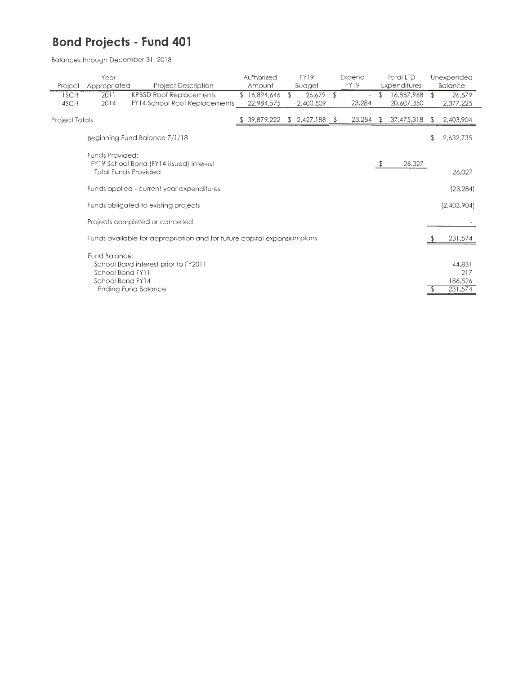### **Bond Projects - Fund 401**

|                | Year                                                  |                                                                          | Authorized |              | <b>FY19</b>   |      | Expend                   |     | <b>Total LTD</b> |                | Unexpended                          |
|----------------|-------------------------------------------------------|--------------------------------------------------------------------------|------------|--------------|---------------|------|--------------------------|-----|------------------|----------------|-------------------------------------|
| Project        | Appropriated                                          | <b>Project Description</b>                                               |            | Amount       | <b>Budget</b> |      | FY19                     |     | Expenditures     |                | Balance                             |
| 11SCH          | 2011                                                  | <b>KPBSD Roof Replacements</b>                                           |            | \$16,894,646 | \$<br>26,679  | \$   | $\overline{\phantom{a}}$ | \$  | 16,867,968       | $\mathfrak{D}$ | 26,679                              |
| 14SCH          | 2014                                                  | FY14 School Roof Replacements                                            |            | 22,984,575   | 2,400,509     |      | 23,284                   |     | 20,607,350       |                | 2,377,225                           |
| Project Totals |                                                       |                                                                          |            | 39,879,222   | \$2,427,188   | - \$ | 23,284                   | S.  | 37,475,318       | S.             | 2,403,904                           |
|                |                                                       | Beginning Fund Balance 7/1/18                                            |            |              |               |      |                          |     |                  | \$             | 2,632,735                           |
|                | Funds Provided:                                       | FY19 School Bond (FY14 issued) Interest                                  |            |              |               |      |                          | -\$ | 26,027           |                |                                     |
|                | <b>Total Funds Provided</b>                           |                                                                          |            |              |               |      |                          |     |                  |                | 26,027                              |
|                |                                                       | Funds applied - current year expenditures                                |            |              |               |      |                          |     |                  |                | (23, 284)                           |
|                |                                                       | Funds obligated to existing projects                                     |            |              |               |      |                          |     |                  |                | (2,403,904)                         |
|                |                                                       | Projects completed or cancelled                                          |            |              |               |      |                          |     |                  |                |                                     |
|                |                                                       | Funds available for appropriation and for future capital expansion plans |            |              |               |      |                          |     |                  |                | 231,574                             |
|                | Fund Balance:<br>School Bond FY11<br>School Bond FY14 | School Bond interest prior to FY2011<br>Ending Fund Balance              |            |              |               |      |                          |     |                  |                | 44,831<br>217<br>186,526<br>231,574 |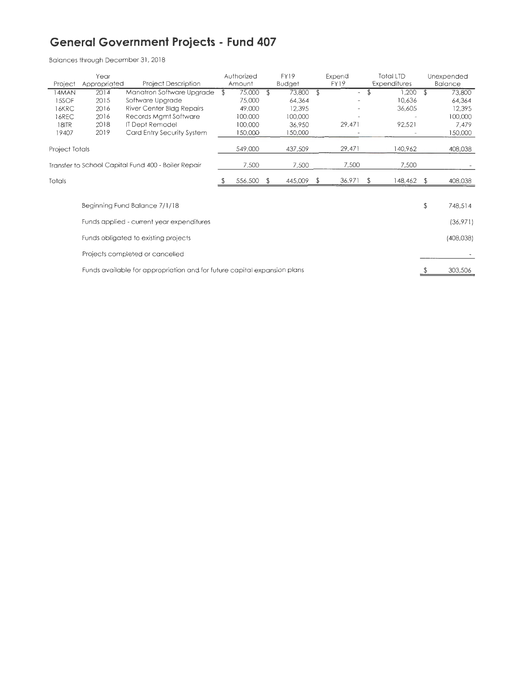### **General Government Projects - Fund 407**

|                | Year                                                |                                                                          |                | Authorized | FY19          | Expend                         |    | Total LTD    | Unexpended     |
|----------------|-----------------------------------------------------|--------------------------------------------------------------------------|----------------|------------|---------------|--------------------------------|----|--------------|----------------|
| Project        | Appropriated                                        | <b>Project Description</b>                                               |                | Amount     | <b>Budget</b> | FY19                           |    | Expenditures | <b>Balance</b> |
| 4MAN           | 2014                                                | Manatron Software Upgrade                                                | $\mathfrak{F}$ | 75,000     | \$<br>73,800  | \$<br>$\overline{\phantom{a}}$ | \$ | 1,200        | \$<br>73,800   |
| 15SOF          | 2015                                                | Software Upgrade                                                         |                | 75,000     | 64,364        |                                |    | 10,636       | 64,364         |
| 16KRC          | 2016                                                | River Center Bldg Repairs                                                |                | 49,000     | 12,395        |                                |    | 36,605       | 12,395         |
| 16REC          | 2016                                                | Records Mgmt Software                                                    |                | 100,000    | 100,000       |                                |    |              | 100,000        |
| 18ITR          | 2018                                                | IT Dept Remodel                                                          |                | 100,000    | 36,950        | 29,471                         |    | 92,521       | 7,479          |
| 19407          | 2019                                                | Card Entry Security System                                               |                | 150,000    | 150,000       |                                |    |              | 150,000        |
| Project Totals |                                                     |                                                                          |                | 549,000    | 437,509       | 29,471                         |    | 140,962      | 408,038        |
|                | Transfer to School Capital Fund 400 - Boiler Repair |                                                                          |                |            | 7,500         | 7,500                          |    | 7,500        |                |
| Totals         |                                                     |                                                                          |                | 556,500    | \$<br>445,009 | \$<br>36,971                   | £. | 148,462      | \$<br>408,038  |
|                |                                                     |                                                                          |                |            |               |                                |    |              |                |
|                |                                                     | Beginning Fund Balance 7/1/18                                            |                |            |               |                                |    |              | \$<br>748,514  |
|                |                                                     | Funds applied - current year expenditures                                |                |            |               |                                |    |              | (36,971)       |
|                |                                                     | Funds obligated to existing projects                                     |                |            |               |                                |    |              | (408, 038)     |
|                |                                                     | Projects completed or cancelled                                          |                |            |               |                                |    |              |                |
|                |                                                     | Funds available for appropriation and for future capital expansion plans |                |            |               |                                |    |              | 303,506        |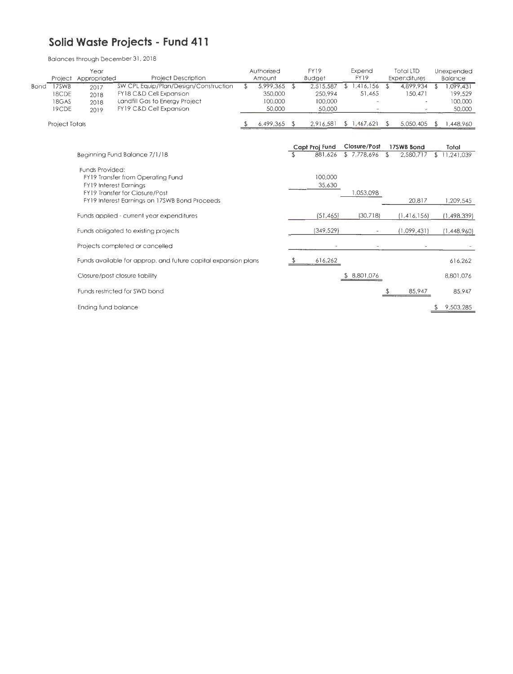#### **Solid Waste Projects - Fund 411**

|      |                                  | Year<br>Project Appropriated                     |                                                                                      | <b>Project Description</b>                                     | Authorized<br>Amount                            |      | <b>FY19</b><br><b>Budget</b>              | Expend<br>FY19              | <b>Total LTD</b><br>Expenditures |     | Unexpended<br>Balgrice                   |
|------|----------------------------------|--------------------------------------------------|--------------------------------------------------------------------------------------|----------------------------------------------------------------|-------------------------------------------------|------|-------------------------------------------|-----------------------------|----------------------------------|-----|------------------------------------------|
| Bond | 17SWB<br>18CDE<br>18GAS<br>19CDE | 2017<br>2018<br>2018<br>2019                     | FY18 C&D Cell Expansion<br>Landfill Gas to Energy Project<br>FY19 C&D Cell Expansion | SW CPL Equip/Plan/Design/Construction                          | \$<br>5,999,365<br>350,000<br>100,000<br>50,000 | £.   | 2.515,587<br>250,994<br>100,000<br>50,000 | 1,416,156<br>51,465         | 4,899,934<br>150,471             | \$  | 1.099431<br>199,529<br>100,000<br>50,000 |
|      | <b>Project Totals</b>            |                                                  |                                                                                      |                                                                | 6,499,365                                       | - 55 | 2,916,581                                 | \$1,467,621                 | \$<br>5,050,405                  | \$. | 1,448,960                                |
|      |                                  |                                                  | Beginning Fund Balance 7/1/18                                                        |                                                                |                                                 |      | Capt Proj Fund<br>881,626                 | Closure/Post<br>\$7,778,696 | 17SWB Bond<br>2,580,717<br>\$    | \$  | Total<br>11,241,039                      |
|      |                                  | Funds Provided:<br><b>FY19 Interest Earnings</b> | FY19 Transfer from Operating Fund<br>FY19 Transfer for Closure/Post                  |                                                                |                                                 |      | 100,000<br>35,630                         | 1,053,098                   |                                  |     |                                          |
|      |                                  |                                                  | FY19 Interest Earnings on 17SWB Bond Proceeds                                        |                                                                |                                                 |      |                                           |                             | 20,817                           |     | 1,209,545                                |
|      |                                  |                                                  | Funds applied - current year expenditures                                            |                                                                |                                                 |      | (51, 465)                                 | (30,718)                    | (1, 416, 156)                    |     | (1,498,339)                              |
|      |                                  |                                                  | Funds obligated to existing projects                                                 |                                                                |                                                 |      | (349, 529)                                |                             | (1,099,431)                      |     | (1,448,960)                              |
|      |                                  |                                                  | Projects completed or cancelled                                                      |                                                                |                                                 |      |                                           |                             |                                  |     |                                          |
|      |                                  |                                                  |                                                                                      | Funds available for approp. and future capital expansion plans |                                                 |      | 616,262                                   |                             |                                  |     | 616,262                                  |
|      |                                  |                                                  | Closure/post closure liability                                                       |                                                                |                                                 |      |                                           | \$ 8,801,076                |                                  |     | 8,801,076                                |
|      |                                  |                                                  | Funds restricted for SWD bond                                                        |                                                                |                                                 |      |                                           |                             | 85,947                           |     | 85,947                                   |
|      |                                  | Ending fund balance                              |                                                                                      |                                                                |                                                 |      |                                           |                             |                                  |     | 9,503,285                                |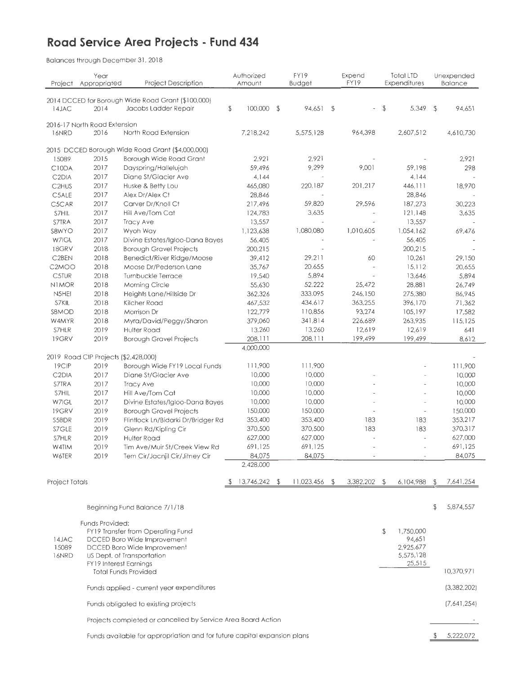### **Road Service Area Projects - Fund 434**

| Project            | Year<br>Appropriated                 | <b>Project Description</b>                                                 | Authorized<br>Amount |                | FY19<br><b>Budget</b> | Expend<br>FY19  | <b>Total LTD</b><br><b>Expenditures</b> |                | Unexpended<br><b>Balance</b> |
|--------------------|--------------------------------------|----------------------------------------------------------------------------|----------------------|----------------|-----------------------|-----------------|-----------------------------------------|----------------|------------------------------|
|                    |                                      |                                                                            |                      |                |                       |                 |                                         |                |                              |
| 14JAC              | 2014                                 | 2014 DCCED for Borough Wide Road Grant (\$100,000)<br>Jacobs Ladder Repair | \$<br>100,000        | $\mathfrak{P}$ | 94,651 \$             |                 | \$<br>5,349                             | $\mathfrak{D}$ | 94,651                       |
|                    | 2016-17 North Road Extension         |                                                                            |                      |                | 5,575,128             | 964,398         | 2,607,512                               |                | 4,610,730                    |
| 16NRD              | 2016                                 | North Road Extension                                                       | 7,218,242            |                |                       |                 |                                         |                |                              |
|                    |                                      | 2015 DCCED Borough Wide Road Grant (\$4,000,000)                           |                      |                |                       |                 |                                         |                |                              |
| 15089              | 2015                                 | Borough Wide Road Grant                                                    |                      | 2,921          | 2,921                 |                 |                                         |                | 2,921                        |
| C10DA              | 2017                                 | Dayspring/Hallelujah                                                       | 59,496               |                | 9,299                 | 9,001           | 59,198                                  |                | 298                          |
| C <sub>2</sub> DIA | 2017                                 | Diane St/Glacier Ave                                                       |                      | 4,144          |                       |                 | 4,144                                   |                |                              |
| C <sub>2HUS</sub>  | 2017                                 | Huske & Betty Lou                                                          | 465,080              |                | 220,187               | 201,217         | 446, 111                                |                | 18,970                       |
| C5ALE              | 2017                                 | Alex Dr/Alex Ct                                                            | 28,846               |                | $\overline{a}$        |                 | 28,846                                  |                |                              |
| C5CAR              | 2017                                 | Carver Dr/Knoll Ct                                                         | 217,496              |                | 59,820                | 29,596          | 187,273                                 |                | 30,223                       |
| S7HIL              | 2017                                 | Hill Ave/Tom Cat                                                           | 124,783              |                | 3,635                 |                 | 121,148                                 |                | 3,635                        |
| S7TRA              | 2017                                 | Tracy Ave                                                                  | 13,557               |                |                       |                 | 13,557                                  |                |                              |
| S8WYO              | 2017                                 | Wyoh Way                                                                   | 1,123,638            |                | 1,080,080             | 1,010,605       | 1,054,162                               |                | 69,476                       |
| W7IGL              | 2017                                 | Divine Estates/Igloo-Dana Bayes                                            | 56,405               |                |                       |                 | 56,405                                  |                |                              |
| 18GRV              | 2018                                 | <b>Borough Gravel Projects</b>                                             | 200,215              |                |                       |                 | 200,215                                 |                |                              |
| C <sub>2</sub> BEN | 2018                                 | Benedict/River Ridge/Moose                                                 | 39,412               |                | 29,211                | 60              | 10,261                                  |                | 29,150                       |
| C <sub>2</sub> MOO | 2018                                 | Moose Dr/Pederson Lane                                                     | 35,767               |                | 20,655                |                 | 15,112<br>13,646                        |                | 20,655<br>5,894              |
| <b>C5TUR</b>       | 2018                                 | Turnbuckle Terrace                                                         | 19,540               |                | 5,894                 | 25,472          | 28,881                                  |                | 26,749                       |
| <b>NIMOR</b>       | 2018                                 | Morning Circle                                                             | 55,630               |                | 52,222<br>333,095     | 246,150         | 275,380                                 |                | 86,945                       |
| N5HEI              | 2018                                 | Heights Lane/Hillside Dr<br>Kilcher Road                                   | 362,326<br>467,532   |                | 434,617               | 363,255         | 396,170                                 |                | 71,362                       |
| S7KIL              | 2018                                 | Morrison Dr                                                                | 122,779              |                | 110,856               | 93,274          | 105,197                                 |                | 17,582                       |
| S8MOD              | 2018<br>2018                         |                                                                            | 379,060              |                | 341,814               | 226,689         | 263,935                                 |                | 115,125                      |
| W4MYR<br>S7HLR     | 2019                                 | Myra/David/Peggy/Sharon<br>Hulter Road                                     | 13,260               |                | 13,260                | 12,619          | 12,619                                  |                | 641                          |
| 19GRV              | 2019                                 | <b>Borough Gravel Projects</b>                                             | 208,111              |                | 208,111               | 199,499         | 199,499                                 |                | 8,612                        |
|                    |                                      |                                                                            | 4,000,000            |                |                       |                 |                                         |                |                              |
|                    | 2019 Road CIP Projects (\$2,428,000) |                                                                            |                      |                |                       |                 |                                         |                |                              |
| 19CIP              | 2019                                 | Borough Wide FY19 Local Funds                                              | 111,900              |                | 111,900               |                 |                                         |                | 111,900                      |
| C <sub>2</sub> DIA | 2017                                 | Diane St/Glacier Ave                                                       | 10,000               |                | 10,000                |                 |                                         |                | 10,000                       |
| S7TRA              | 2017                                 | <b>Tracy Ave</b>                                                           | 10,000               |                | 10,000                |                 |                                         |                | 10,000                       |
| S7HIL              | 2017                                 | Hill Ave/Tom Cat                                                           | 10,000               |                | 10,000                |                 |                                         |                | 10,000                       |
| W7IGL              | 2017                                 | Divine Estates/Igloo-Dana Bayes                                            | 10,000               |                | 10,000                |                 |                                         |                | 10,000                       |
| 19GRV              | 2019                                 | <b>Borough Gravel Projects</b>                                             | 150,000              |                | 150,000               |                 |                                         |                | 150,000                      |
| S5BDR              | 2019                                 | Flintlock Ln/Bidarki Dr/Bridger Rd                                         | 353,400              |                | 353,400               | 183             | 183                                     |                | 353,217                      |
| S7GLE              | 2019                                 | Glenn Rd/Kipling Cir                                                       | 370,500              |                | 370,500               | 183             | 183                                     |                | 370,317                      |
| S7HLR              | 2019                                 | <b>Hulter Road</b>                                                         | 627,000              |                | 627,000               |                 | ÷                                       |                | 627,000                      |
| W4TIM              | 2019                                 | Tim Ave/Muir St/Creek View Rd                                              | 691,125              |                | 691,125               |                 |                                         |                | 691,125                      |
| <b>W6TER</b>       | 2019                                 | Tern Cir/Jacnjil Cir/Jitney Cir                                            | 84,075               |                | 84,075                |                 |                                         |                | 84,075                       |
|                    |                                      |                                                                            | 2,428,000            |                |                       |                 |                                         |                |                              |
| Project Totals     |                                      |                                                                            | 13,746,242<br>P      | - \$           | 11,023,456            | \$<br>3,382,202 | \$<br>6,104,988                         | S              | 7,641,254                    |
|                    |                                      |                                                                            |                      |                |                       |                 |                                         |                |                              |
|                    |                                      | Beginning Fund Balance 7/1/18                                              |                      |                |                       |                 |                                         | \$             | 5,874,557                    |
|                    | Funds Provided:                      |                                                                            |                      |                |                       |                 |                                         |                |                              |
|                    |                                      | FY19 Transfer from Operating Fund                                          |                      |                |                       |                 | \$<br>1,750,000                         |                |                              |
| 14JAC              |                                      | DCCED Boro Wide Improvement                                                |                      |                |                       |                 | 94,651                                  |                |                              |
| 15089              |                                      | DCCED Boro Wide Improvement                                                |                      |                |                       |                 | 2,925,677<br>5,575,128                  |                |                              |
| 16NRD              | <b>FY19 Interest Earnings</b>        | US Dept. of Transportation                                                 |                      |                |                       |                 | 25,515                                  |                |                              |
|                    |                                      | <b>Total Funds Provided</b>                                                |                      |                |                       |                 |                                         |                | 10,370,971                   |
|                    |                                      | Funds applied - current year expenditures                                  |                      |                |                       |                 |                                         |                | (3,382,202)                  |
|                    |                                      | Funds obligated to existing projects                                       |                      |                |                       |                 |                                         |                | (7,641,254)                  |
|                    |                                      | Projects completed or cancelled by Service Area Board Action               |                      |                |                       |                 |                                         |                |                              |
|                    |                                      | Funds available for appropriation and for future capital expansion plans   |                      |                |                       |                 |                                         | £.             | 5,222,072                    |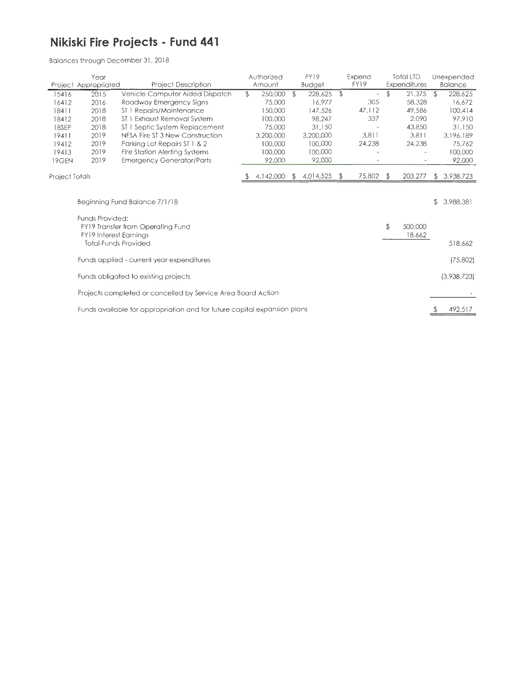### **Nikiski Fire Projects - Fund 441**

|                | Year<br><b>Project Description</b><br>Project Appropriated |                                                                          |    | Authorized |    | FY19          |                | Expend                   |    | <b>Total LTD</b>  |                | Unexpended     |
|----------------|------------------------------------------------------------|--------------------------------------------------------------------------|----|------------|----|---------------|----------------|--------------------------|----|-------------------|----------------|----------------|
|                |                                                            |                                                                          |    | Amount     |    | <b>Budget</b> |                | FY19                     |    | Expenditures      |                | <b>Balance</b> |
| 15416          | 2015                                                       | Vehicle Computer Aided Dispatch                                          | \$ | 250,000    | \$ | 228,625       | $\mathfrak{P}$ | $\overline{\phantom{a}}$ | \$ | 21,375            | $\mathfrak{P}$ | 228,625        |
| 16412          | 2016                                                       | Roadway Emergency Signs                                                  |    | 75,000     |    | 16.977        |                | 305                      |    | 58,328            |                | 16,672         |
| 18411          | 2018                                                       | ST 1 Repairs/Maintenance                                                 |    | 150,000    |    | 147,526       |                | 47,112                   |    | 49,586            |                | 100,414        |
| 18412          | 2018                                                       | ST 1 Exhaust Removal System                                              |    | 100,000    |    | 98,247        |                | 337                      |    | 2,090             |                | 97,910         |
| 18SEP          | 2018                                                       | ST 1 Septic System Replacement                                           |    | 75,000     |    | 31,150        |                |                          |    | 43,850            |                | 31,150         |
| 19411          | 2019                                                       | NFSA Fire ST 3 New Construction                                          |    | 3,200,000  |    | 3,200,000     |                | 3,811                    |    | 3,811             |                | 3,196,189      |
| 19412          | 2019                                                       | Parking Lot Repairs ST 1 & 2                                             |    | 100,000    |    | 100,000       |                | 24,238                   |    | 24,238            |                | 75,762         |
| 19413          | 2019                                                       | Fire Station Alerting Systems                                            |    | 100,000    |    | 100,000       |                |                          |    |                   |                | 100,000        |
| 19GEN          | 2019                                                       | <b>Emergency Generator/Parts</b>                                         |    | 92,000     |    | 92,000        |                |                          |    |                   |                | 92,000         |
| Project Totals |                                                            |                                                                          |    | 4,142,000  | \$ | 4,014,525     | $\mathbb{E}$   | $75,802$ \$              |    | 203,277           | \$             | 3,938,723      |
|                | \$<br>Beginning Fund Balance 7/1/18                        |                                                                          |    |            |    |               |                |                          |    |                   |                | 3,988,381      |
|                | Funds Provided:                                            | FY19 Transfer from Operating Fund<br><b>FY19 Interest Earnings</b>       |    |            |    |               |                |                          | \$ | 500,000<br>18,662 |                |                |
|                |                                                            | <b>Total Funds Provided</b>                                              |    |            |    |               |                |                          |    |                   |                | 518,662        |
|                |                                                            | Funds applied - current year expenditures                                |    |            |    |               |                |                          |    |                   |                | (75,802)       |
|                |                                                            | Funds obligated to existing projects                                     |    |            |    |               |                |                          |    |                   |                | (3,938,723)    |
|                |                                                            | Projects completed or cancelled by Service Area Board Action             |    |            |    |               |                |                          |    |                   |                |                |
|                |                                                            | Funds available for appropriation and for future capital expansion plans |    |            |    |               |                |                          |    |                   |                | 492,517        |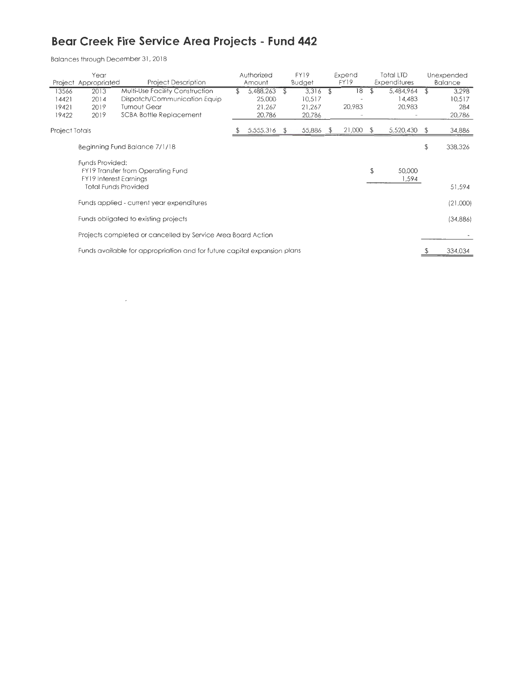## **Bear Creek Fire Service Area Projects - Fund 442**

Balances through December 31. 2018

 $\sim$   $-$ 

|                                  | Year<br>Project Appropriated                     | <b>Project Description</b>                                                                                        |     | Authorized<br>Amount                    |    | <b>FY19</b><br><b>Budget</b>        |    | Expend<br>FY19 | Total LTD<br>Expenditures     |               | Unexpended<br><b>Balance</b>     |
|----------------------------------|--------------------------------------------------|-------------------------------------------------------------------------------------------------------------------|-----|-----------------------------------------|----|-------------------------------------|----|----------------|-------------------------------|---------------|----------------------------------|
| 13566<br>14421<br>19421<br>19422 | 2013<br>2014<br>2019<br>2019                     | Multi-Use Facility Construction<br>Dispatch/Communication Equip<br>Turnout Gear<br><b>SCBA Bottle Replacement</b> | \$. | 5,488,263<br>25,000<br>21,267<br>20,786 | s  | 3,316<br>10,517<br>21,267<br>20,786 | \$ | 18<br>20,983   | 5,484,964<br>14,483<br>20,983 | $\mathcal{F}$ | 3,298<br>10,517<br>284<br>20,786 |
| Project Totals                   |                                                  |                                                                                                                   |     | 5,555,316                               | Ď. | 55,886                              | -S | 21,000         | 5,520,430                     | -S            | 34,886                           |
|                                  |                                                  | Beginning Fund Balance 7/1/18                                                                                     |     |                                         |    |                                     |    |                |                               | \$            | 338,326                          |
|                                  | Funds Provided:<br><b>FY19</b> Interest Earnings | FY19 Transfer from Operating Fund<br><b>Total Funds Provided</b>                                                  |     |                                         |    |                                     |    |                | \$<br>50,000<br>1,594         |               | 51,594                           |
|                                  |                                                  | Funds applied - current year expenditures                                                                         |     |                                         |    |                                     |    |                |                               |               | (21,000)                         |
|                                  |                                                  | Funds obligated to existing projects                                                                              |     |                                         |    |                                     |    |                |                               |               | (34,886)                         |
|                                  |                                                  | Projects completed or cancelled by Service Area Board Action                                                      |     |                                         |    |                                     |    |                |                               |               |                                  |
|                                  |                                                  | Funds available for appropriation and for future capital expansion plans                                          |     |                                         |    |                                     |    |                |                               |               | 334,034                          |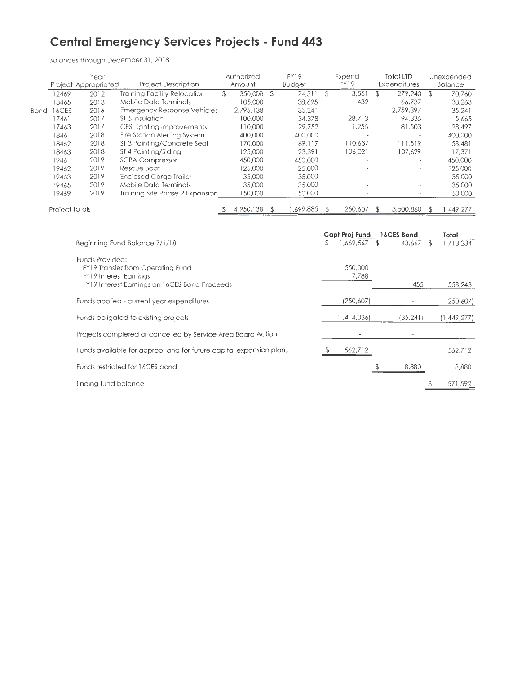### **Central Emergency Services Projects - Fund 443**

|      |                | Year<br>Project Appropriated | <b>Project Description</b>                                                                                          | Authorized<br>Amount |      | FY19<br>Budget |               | Expend<br>FY19   |               | <b>Total LTD</b><br>Expenditures |                    | Unexpended<br>Balance |
|------|----------------|------------------------------|---------------------------------------------------------------------------------------------------------------------|----------------------|------|----------------|---------------|------------------|---------------|----------------------------------|--------------------|-----------------------|
|      | 12469          | 2012                         | <b>Training Facility Relocation</b>                                                                                 | \$<br>350,000 \$     |      | 74.31          | \$            | 3,551            | $\mathcal{F}$ | 279,240                          | £                  | 70,760                |
|      | 13465          | 2013                         | Mobile Data Terminals                                                                                               | 105,000              |      | 38,695         |               | 432              |               | 66,737                           |                    | 38,263                |
| Bond | 16CES          | 2016                         | <b>Emergency Response Vehicles</b>                                                                                  | 2,795,138            |      | 35,241         |               |                  |               | 2,759,897                        |                    | 35,241                |
|      | 17461          | 2017                         | ST <sub>5</sub> Insulation                                                                                          | 100,000              |      | 34,378         |               | 28,713           |               | 94,335                           |                    | 5,665                 |
|      | 17463          | 2017                         | CES Lighting Improvements                                                                                           | 110,000              |      | 29,752         |               | 1,255            |               | 81,503                           |                    | 28,497                |
|      | 18461          | 2018                         | Fire Station Alerting System                                                                                        | 400,000              |      | 400,000        |               |                  |               |                                  |                    | 400,000               |
|      | 18462          | 2018                         | ST 3 Painting/Concrete Seal                                                                                         | 170,000              |      | 169,117        |               | 110.637          |               | 111,519                          |                    | 58,481                |
|      | 18463          | 2018                         | ST 4 Painting/Siding                                                                                                | 125,000              |      | 123,391        |               | 106,021          |               | 107,629                          |                    | 17,371                |
|      | 19461          | 2019                         | <b>SCBA Compressor</b>                                                                                              | 450,000              |      | 450,000        |               |                  |               |                                  |                    | 450,000               |
|      | 19462          | 2019                         | Rescue Boat                                                                                                         | 125,000              |      | 125,000        |               |                  |               |                                  |                    | 125,000               |
|      | 19463          | 2019                         | <b>Enclosed Cargo Trailer</b>                                                                                       | 35,000               |      | 35,000         |               |                  |               |                                  |                    | 35,000                |
|      | 19465          | 2019                         | Mobile Data Terminals                                                                                               | 35,000               |      | 35,000         |               |                  |               |                                  |                    | 35,000                |
|      | 19469          | 2019                         | Training Site Phase 2 Expansion                                                                                     | 150,000              |      | 150,000        |               |                  |               |                                  |                    | 150,000               |
|      | Project Totals |                              |                                                                                                                     | 4,950,138            | - \$ | 1,699,885      | $\mathcal{F}$ | 250,607          | $\mathcal{L}$ | 3,500,860                        | \$                 | 1,449,277             |
|      |                |                              |                                                                                                                     |                      |      |                |               | Capt Proj Fund   |               | 16CES Bond                       |                    | Total                 |
|      |                |                              | Beginning Fund Balance 7/1/18                                                                                       |                      |      |                |               | 1,669,567        | 括             | 43,667                           | $\mathfrak{F}$     | 1,713,234             |
|      |                | Funds Provided:              | FY19 Transfer from Operating Fund<br><b>FY19 Interest Earnings</b><br>FY19 Interest Earnings on 16CES Bond Proceeds |                      |      |                |               | 550,000<br>7,788 |               | 455                              |                    | 558,243               |
|      |                |                              |                                                                                                                     |                      |      |                |               |                  |               |                                  |                    |                       |
|      |                |                              | Funds applied - current year expenditures                                                                           |                      |      |                |               | (250,607)        |               |                                  |                    | (250, 607)            |
|      |                |                              | Funds obligated to existing projects                                                                                |                      |      |                |               | (1, 414, 036)    |               | (35, 241)                        |                    | 1,449,277             |
|      |                |                              | Projects completed or cancelled by Service Area Board Action                                                        |                      |      |                |               |                  |               |                                  |                    |                       |
|      |                |                              | Funds available for approp, and for future capital expansion plans                                                  |                      |      |                | \$            | 562,712          |               |                                  |                    | 562,712               |
|      |                |                              | Funds restricted for 16CES bond                                                                                     |                      |      |                |               |                  |               | 8,880                            |                    | 8,880                 |
|      |                | Ending fund balance          |                                                                                                                     |                      |      |                |               |                  |               |                                  | $\stackrel{\$}{=}$ | 571,592               |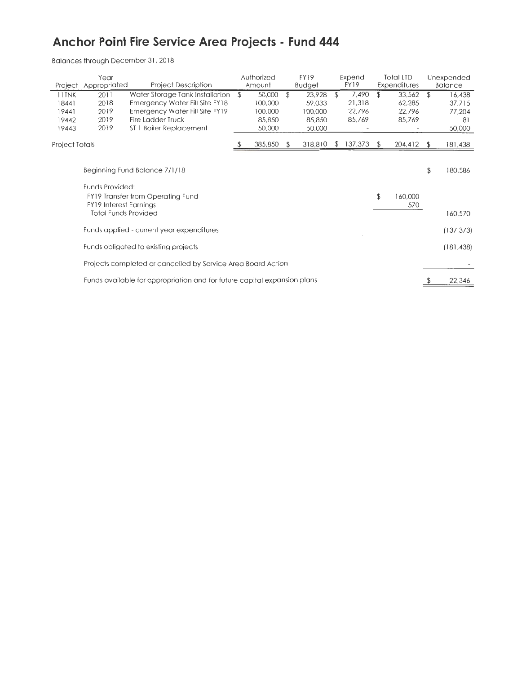## **Anchor Point Fire Service Area Projects - Fund 444**

| Project                                   | Year<br>Appropriated                                         | <b>Project Description</b>                                                                                                                          | Authorized<br>Amount                                   | FY19<br><b>Budget</b>                                 |     | Expend<br>FY19                      | <b>Total LTD</b><br>Expenditures           |                | Unexpended<br><b>Balance</b>               |
|-------------------------------------------|--------------------------------------------------------------|-----------------------------------------------------------------------------------------------------------------------------------------------------|--------------------------------------------------------|-------------------------------------------------------|-----|-------------------------------------|--------------------------------------------|----------------|--------------------------------------------|
| 11TNK<br>18441<br>19441<br>19442<br>19443 | 2011<br>2018<br>2019<br>2019<br>2019                         | Water Storage Tank Installation<br>Emergency Water Fill Site FY18<br>Emergency Water Fill Site FY19<br>Fire Ladder Truck<br>ST 1 Boiler Replacement | \$<br>50,000<br>100,000<br>100,000<br>85,850<br>50,000 | \$<br>23,928<br>59,033<br>100,000<br>85,850<br>50,000 | \$  | 7,490<br>21,318<br>22,796<br>85,769 | \$<br>33,562<br>62,285<br>22,796<br>85,769 | $\mathfrak{P}$ | 16,438<br>37,715<br>77,204<br>81<br>50,000 |
| Project Totals                            |                                                              |                                                                                                                                                     | 385,850                                                | 318,810                                               | \$. | 137,373                             | \$<br>204,412                              | £.             | 181,438                                    |
|                                           | Funds Provided:                                              | Beginning Fund Balance 7/1/18<br>FY19 Transfer from Operating Fund                                                                                  |                                                        |                                                       |     |                                     | \$<br>160,000                              | \$             | 180,586                                    |
|                                           | <b>FY19 Interest Earnings</b><br><b>Total Funds Provided</b> |                                                                                                                                                     |                                                        |                                                       |     |                                     | 570                                        |                | 160,570                                    |
|                                           |                                                              | Funds applied - current year expenditures                                                                                                           |                                                        |                                                       |     |                                     |                                            |                | (137, 373)                                 |
|                                           |                                                              | Funds obligated to existing projects                                                                                                                |                                                        |                                                       |     |                                     |                                            |                | (181, 438)                                 |
|                                           |                                                              | Projects completed or cancelled by Service Area Board Action                                                                                        |                                                        |                                                       |     |                                     |                                            |                |                                            |
|                                           |                                                              | Funds available for appropriation and for future capital expansion plans                                                                            |                                                        |                                                       |     |                                     |                                            |                | 22,346                                     |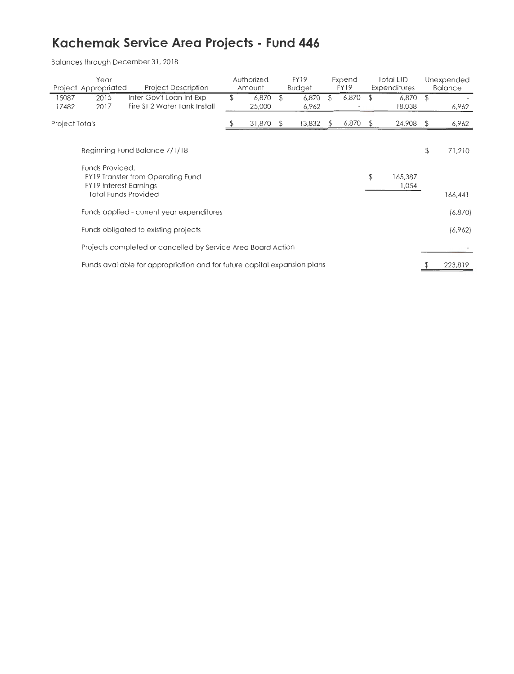# **Kachemak Service Area Projects - Fund 446**

|                | Year<br>Project Appropriated                     | <b>Project Description</b>                                               |   | Authorized<br>Amount |               | <b>FY19</b><br><b>Budget</b> |    | Expend<br><b>FY19</b> |              | Total LTD<br><b>Expenditures</b> |    | Unexpended<br><b>Balance</b> |
|----------------|--------------------------------------------------|--------------------------------------------------------------------------|---|----------------------|---------------|------------------------------|----|-----------------------|--------------|----------------------------------|----|------------------------------|
| 15087<br>17482 | 2015<br>2017                                     | Inter Gov't Loan Int Exp<br>Fire ST 2 Water Tank Install                 | S | 6,870<br>25,000      | \$.           | 6,870<br>6,962               | \$ | 6,870                 |              | 6,870<br>18,038                  | \$ | 6,962                        |
| Project Totals |                                                  |                                                                          |   | 31,870               | <sup>\$</sup> | 13,832                       | £  | 6,870                 | <sup>3</sup> | 24,908                           | S  | 6,962                        |
|                |                                                  | Beginning Fund Balance 7/1/18                                            |   |                      |               |                              |    |                       |              |                                  | \$ | 71,210                       |
|                | Funds Provided:<br><b>FY19</b> Interest Earnings | FY19 Transfer from Operating Fund<br><b>Total Funds Provided</b>         |   |                      |               |                              |    |                       | \$           | 165,387<br>1,054                 |    | 166,441                      |
|                |                                                  | Funds applied - current year expenditures                                |   |                      |               |                              |    |                       |              |                                  |    | (6,870)                      |
|                |                                                  | Funds obligated to existing projects                                     |   |                      |               |                              |    |                       |              |                                  |    | (6,962)                      |
|                |                                                  | Projects completed or cancelled by Service Area Board Action             |   |                      |               |                              |    |                       |              |                                  |    |                              |
|                |                                                  | Funds available for appropriation and for future capital expansion plans |   |                      |               |                              |    |                       |              |                                  |    | 223,819                      |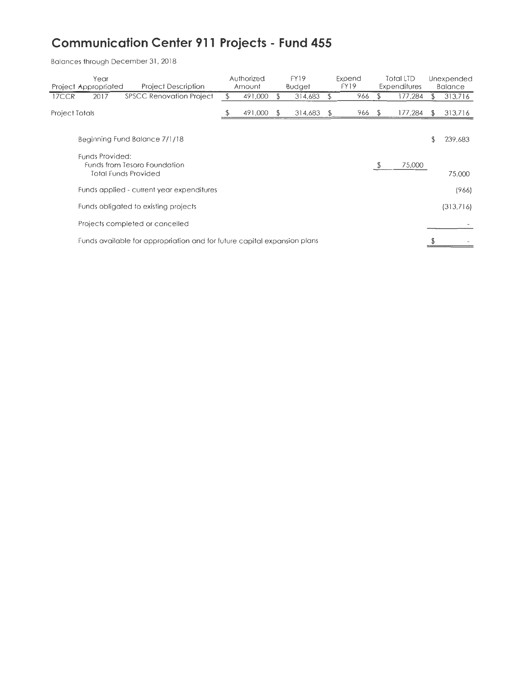# **Communication Center 911 Projects - Fund 455**

|                | Year<br>Project Appropriated | <b>Project Description</b>                                               | Authorized<br>Amount |    | <b>FY19</b><br><b>Budget</b> |            | Expend<br>FY19 |               | Total LTD<br>Expenditures |    | Unexpended<br><b>Balance</b> |
|----------------|------------------------------|--------------------------------------------------------------------------|----------------------|----|------------------------------|------------|----------------|---------------|---------------------------|----|------------------------------|
| 17CCR          | 2017                         | <b>SPSCC Renovation Project</b>                                          | 491,000              | £. | 314,683                      | \$         | 966            |               | 177,284                   |    | 313,716                      |
| Project Totals |                              |                                                                          | 491,000              | F  | 314,683                      | $\sqrt{2}$ | 966            | <sup>\$</sup> | 177,284                   | Ъ  | 313,716                      |
|                |                              | Beginning Fund Balance 7/1/18                                            |                      |    |                              |            |                |               |                           | \$ | 239,683                      |
|                | Funds Provided:              | Funds from Tesoro Foundation<br><b>Total Funds Provided</b>              |                      |    |                              |            |                |               | 75,000                    |    | 75,000                       |
|                |                              | Funds applied - current year expenditures                                |                      |    |                              |            |                |               |                           |    | (966)                        |
|                |                              | Funds obligated to existing projects                                     |                      |    |                              |            |                |               |                           |    | (313,716)                    |
|                |                              | Projects completed or cancelled                                          |                      |    |                              |            |                |               |                           |    |                              |
|                |                              | Funds available for appropriation and for future capital expansion plans |                      |    |                              |            |                |               |                           |    |                              |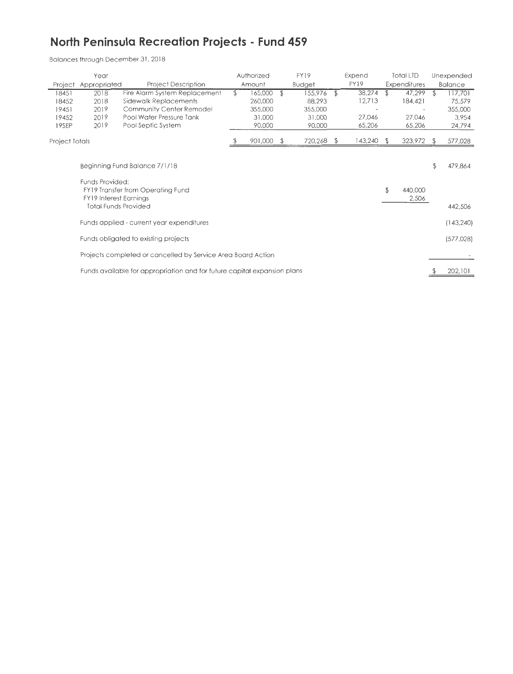### **North Peninsula Recreation Projects - Fund 459**

| Year                    |                                                                                 |                                                                            | Authorized |                             | FY19                        |    | Expend           | <b>Total LTD</b> |                   | Unexpended |                            |
|-------------------------|---------------------------------------------------------------------------------|----------------------------------------------------------------------------|------------|-----------------------------|-----------------------------|----|------------------|------------------|-------------------|------------|----------------------------|
| Project                 | Appropriated                                                                    | <b>Project Description</b>                                                 |            | Amount                      | <b>Budget</b>               |    | FY19             |                  | Expenditures      |            | <b>Balance</b>             |
| 18451<br>18452          | 2018<br>2018                                                                    | Fire Alarm System Replacement<br>Sidewalk Replacements                     | \$         | 165,000<br>260,000          | \$<br>155,976<br>88,293     | \$ | 38,274<br>12,713 | \$               | 47,299<br>184,421 | \$         | 117,701<br>75,579          |
| 19451<br>19452<br>19SEP | 2019<br>2019<br>2019                                                            | Community Center Remodel<br>Pool Water Pressure Tank<br>Pool Septic System |            | 355,000<br>31,000<br>90,000 | 355,000<br>31,000<br>90,000 |    | 27,046<br>65,206 |                  | 27,046<br>65,206  |            | 355,000<br>3,954<br>24,794 |
| Project Totals          |                                                                                 |                                                                            |            | 901,000                     | 720,268                     | S  | 143,240          | - S              | 323,972           |            | 577,028                    |
|                         |                                                                                 | Beginning Fund Balance 7/1/18                                              |            |                             |                             |    |                  |                  |                   | \$         | 479,864                    |
|                         | Funds Provided:<br><b>FY19</b> Interest Earnings<br><b>Total Funds Provided</b> | <b>FY19 Transfer from Operating Fund</b>                                   |            |                             |                             |    |                  | \$               | 440,000<br>2,506  |            | 442,506                    |
|                         |                                                                                 | Funds applied - current year expenditures                                  |            |                             |                             |    |                  |                  |                   |            | (143, 240)                 |
|                         |                                                                                 | Funds obligated to existing projects                                       |            |                             |                             |    |                  |                  |                   |            | (577, 028)                 |
|                         |                                                                                 | Projects completed or cancelled by Service Area Board Action               |            |                             |                             |    |                  |                  |                   |            |                            |
|                         |                                                                                 | Funds available for appropriation and for future capital expansion plans   |            |                             |                             |    |                  |                  |                   |            | 202,101                    |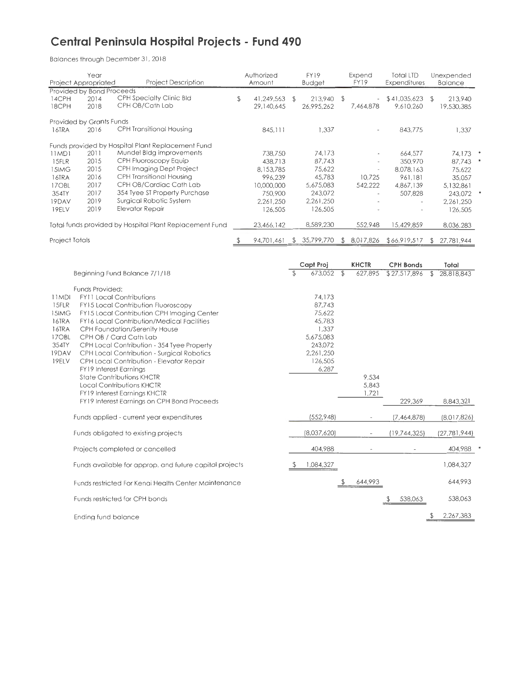### **Central Peninsula Hospital Projects - Fund 490**

|                                                                                             | Year<br>Project Appropriated                                 | <b>Project Description</b>                                                                                                                                                                                                                                                                                                                                                                                                                                                                                                          | FY19<br>Authorized<br>Amount<br>Budget                                                                                                                                                                                               |                             | Expend<br><b>FY19</b>                                                                                  | <b>Total LTD</b><br><b>Expenditures</b> |                                                                                        | Unexpended<br><b>Balance</b>            |                |                       |  |
|---------------------------------------------------------------------------------------------|--------------------------------------------------------------|-------------------------------------------------------------------------------------------------------------------------------------------------------------------------------------------------------------------------------------------------------------------------------------------------------------------------------------------------------------------------------------------------------------------------------------------------------------------------------------------------------------------------------------|--------------------------------------------------------------------------------------------------------------------------------------------------------------------------------------------------------------------------------------|-----------------------------|--------------------------------------------------------------------------------------------------------|-----------------------------------------|----------------------------------------------------------------------------------------|-----------------------------------------|----------------|-----------------------|--|
| 14CPH<br>18CPH                                                                              | Provided by Bond Proceeds<br>2014<br>2018                    | <b>CPH Specialty Clinic Bld</b><br>CPH OB/Cath Lab                                                                                                                                                                                                                                                                                                                                                                                                                                                                                  | \$                                                                                                                                                                                                                                   | 41,249,563 \$<br>29,140,645 | 213,940 \$<br>26,995,262                                                                               |                                         | 7,464,878                                                                              | \$41,035,623<br>9,610,260               | $\mathcal{F}$  | 213,940<br>19,530,385 |  |
| 16TRA                                                                                       | Provided by Grants Funds<br>2016                             | <b>CPH Transitional Housing</b>                                                                                                                                                                                                                                                                                                                                                                                                                                                                                                     |                                                                                                                                                                                                                                      | 845,111                     | 1,337                                                                                                  |                                         |                                                                                        | 843,775                                 |                | 1,337                 |  |
| 11MD1<br>15FLR<br>15IMG<br>16TRA<br>17OBL<br>354TY<br>19DAV<br>19ELV                        | 2011<br>2015<br>2015<br>2016<br>2017<br>2017<br>2019<br>2019 | Funds provided by Hospital Plant Replacement Fund<br>Mundel Bldg improvements<br>CPH Fluoroscopy Equip<br>CPH Imaging Dept Project<br><b>CPH Transitional Housing</b><br>CPH OB/Cardiac Cath Lab<br>354 Tyee ST Property Purchase<br>Surgical Robotic System<br>Elevator Repair                                                                                                                                                                                                                                                     | 738,750<br>74,173<br>438,713<br>87,743<br>8,153,785<br>75,622<br>$\overline{\phantom{a}}$<br>996,239<br>45,783<br>10,725<br>5,675,083<br>10,000,000<br>542,222<br>750,900<br>243,072<br>2,261,250<br>2,261,250<br>126,505<br>126,505 |                             | 664,577<br>350,970<br>8,078,163<br>961,181<br>4,867,139<br>507,828                                     |                                         | 74,173 *<br>87,743<br>75,622<br>35,057<br>5,132,861<br>243,072<br>2,261,250<br>126,505 | $\ast$                                  |                |                       |  |
|                                                                                             |                                                              | Total funds provided by Hospital Plant Replacement Fund                                                                                                                                                                                                                                                                                                                                                                                                                                                                             |                                                                                                                                                                                                                                      | 23,466,142                  | 8,589,230                                                                                              |                                         | 552,948                                                                                | 15,429,859                              |                | 8,036,283             |  |
| Project Totals                                                                              |                                                              |                                                                                                                                                                                                                                                                                                                                                                                                                                                                                                                                     |                                                                                                                                                                                                                                      | 94,701,461                  | \$35,799,770                                                                                           |                                         | \$8.017,826                                                                            | \$66,919,517                            | $\mathfrak{P}$ | 27,781,944            |  |
|                                                                                             |                                                              | Beginning Fund Balance 7/1/18                                                                                                                                                                                                                                                                                                                                                                                                                                                                                                       |                                                                                                                                                                                                                                      |                             | Capt Proj<br>673,052                                                                                   | $\mathcal{L}$                           | <b>KHCTR</b><br>627,895                                                                | <b>CPH Bonds</b><br>$\sqrt{27,517,896}$ | \$             | Total<br>28,818,843   |  |
| 11MDI<br>15FLR<br>15IMG<br><b>16TRA</b><br><b>16TRA</b><br>17OBL<br>354TY<br>19DAV<br>19ELV | Funds Provided:<br><b>FY19 Interest Earnings</b>             | <b>FY11 Local Contributions</b><br>FY15 Local Contribution Fluoroscopy<br>FY15 Local Contribution CPH Imaging Center<br>FY16 Local Contribution/Medical Facilities<br>CPH Foundation/Serenity House<br>CPH OB / Card Cath Lab<br>CPH Local Contribution - 354 Tyee Property<br>CPH Local Contribution - Surgical Robotics<br>CPH Local Contribution - Elevator Repair<br><b>State Contributions KHCTR</b><br><b>Local Contributions KHCTR</b><br><b>FY19 Interest Earnings KHCTR</b><br>FY19 Interest Earnings on CPH Bond Proceeds |                                                                                                                                                                                                                                      |                             | 74.173<br>87,743<br>75,622<br>45,783<br>1,337<br>5,675,083<br>243,072<br>2,261,250<br>126,505<br>6,287 |                                         | 9,534<br>5,843<br>1,721                                                                | 229,369                                 |                | 8,843,321             |  |
|                                                                                             |                                                              | Funds applied - current year expenditures                                                                                                                                                                                                                                                                                                                                                                                                                                                                                           |                                                                                                                                                                                                                                      |                             | (552,948)                                                                                              |                                         |                                                                                        | (7,464,878)                             |                | (8,017,826)           |  |
|                                                                                             |                                                              | Funds obligated to existing projects                                                                                                                                                                                                                                                                                                                                                                                                                                                                                                |                                                                                                                                                                                                                                      |                             | (8,037,620)                                                                                            |                                         |                                                                                        | (19, 744, 325)                          |                | (27, 781, 944)        |  |
|                                                                                             |                                                              | Projects completed or cancelled                                                                                                                                                                                                                                                                                                                                                                                                                                                                                                     |                                                                                                                                                                                                                                      |                             | 404,988                                                                                                |                                         |                                                                                        |                                         |                | 404,988               |  |
|                                                                                             |                                                              | Funds available for approp. and future capital projects                                                                                                                                                                                                                                                                                                                                                                                                                                                                             |                                                                                                                                                                                                                                      |                             | 1,084,327                                                                                              |                                         |                                                                                        |                                         |                | 1,084,327             |  |
|                                                                                             |                                                              | Funds restricted For Kenai Health Center Maintenance                                                                                                                                                                                                                                                                                                                                                                                                                                                                                |                                                                                                                                                                                                                                      |                             |                                                                                                        |                                         | 644,993                                                                                |                                         |                | 644,993               |  |
|                                                                                             |                                                              | Funds restricted for CPH bonds                                                                                                                                                                                                                                                                                                                                                                                                                                                                                                      |                                                                                                                                                                                                                                      |                             |                                                                                                        |                                         |                                                                                        | 538,063                                 |                | 538,063               |  |
|                                                                                             | Ending fund balance                                          |                                                                                                                                                                                                                                                                                                                                                                                                                                                                                                                                     |                                                                                                                                                                                                                                      |                             |                                                                                                        |                                         |                                                                                        |                                         | \$             | 2,267,383             |  |